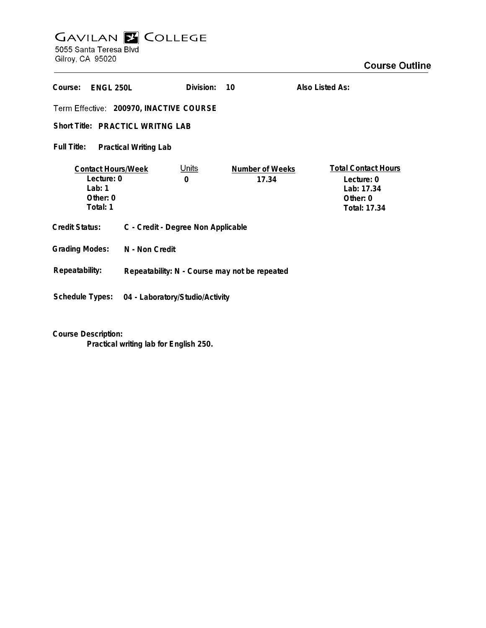## GAVILAN E COLLEGE<br>5055 Santa Teresa Blvd

Gilroy, CA 95020

| Course:<br>ENGL 250L                                                          |                                               | Division:         | 10                       | Also Listed As:                                                                    |
|-------------------------------------------------------------------------------|-----------------------------------------------|-------------------|--------------------------|------------------------------------------------------------------------------------|
| Term Effective: 200970, INACTIVE COURSE                                       |                                               |                   |                          |                                                                                    |
| Short Title: PRACTICL WRITNG LAB                                              |                                               |                   |                          |                                                                                    |
| Full Title:<br><b>Practical Writing Lab</b>                                   |                                               |                   |                          |                                                                                    |
| <b>Contact Hours/Week</b><br>Lecture: 0<br>Lab: $1$<br>Other: $0$<br>Total: 1 |                                               | <u>Units</u><br>0 | Number of Weeks<br>17.34 | <b>Total Contact Hours</b><br>Lecture: 0<br>Lab: 17.34<br>Other: 0<br>Total: 17.34 |
| Credit Status:                                                                | C - Credit - Degree Non Applicable            |                   |                          |                                                                                    |
| <b>Grading Modes:</b>                                                         | N - Non Credit                                |                   |                          |                                                                                    |
| Repeatability:                                                                | Repeatability: N - Course may not be repeated |                   |                          |                                                                                    |
| Schedule Types:                                                               | 04 - Laboratory/Studio/Activity               |                   |                          |                                                                                    |

**Course Description:**

**Practical writing lab for English 250.**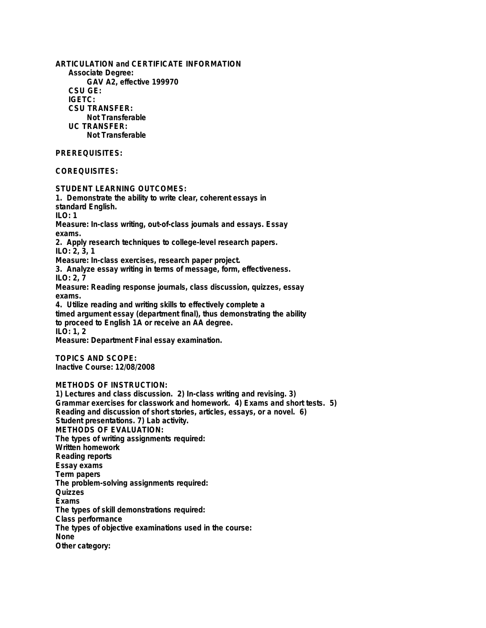**ARTICULATION and CERTIFICATE INFORMATION Associate Degree: GAV A2, effective 199970 CSU GE: IGETC: CSU TRANSFER: Not Transferable UC TRANSFER: Not Transferable**

## **PREREQUISITES:**

**COREQUISITES:**

**STUDENT LEARNING OUTCOMES: 1. Demonstrate the ability to write clear, coherent essays in standard English. ILO: 1 Measure: In-class writing, out-of-class journals and essays. Essay exams. 2. Apply research techniques to college-level research papers. ILO: 2, 3, 1 Measure: In-class exercises, research paper project. 3. Analyze essay writing in terms of message, form, effectiveness. ILO: 2, 7 Measure: Reading response journals, class discussion, quizzes, essay exams. 4. Utilize reading and writing skills to effectively complete a timed argument essay (department final), thus demonstrating the ability to proceed to English 1A or receive an AA degree. ILO: 1, 2 Measure: Department Final essay examination. TOPICS AND SCOPE: Inactive Course: 12/08/2008**

## **METHODS OF INSTRUCTION:**

**1) Lectures and class discussion. 2) In-class writing and revising. 3) Grammar exercises for classwork and homework. 4) Exams and short tests. 5) Reading and discussion of short stories, articles, essays, or a novel. 6) Student presentations. 7) Lab activity. METHODS OF EVALUATION: The types of writing assignments required: Written homework Reading reports Essay exams Term papers The problem-solving assignments required: Quizzes Exams The types of skill demonstrations required: Class performance The types of objective examinations used in the course: None Other category:**